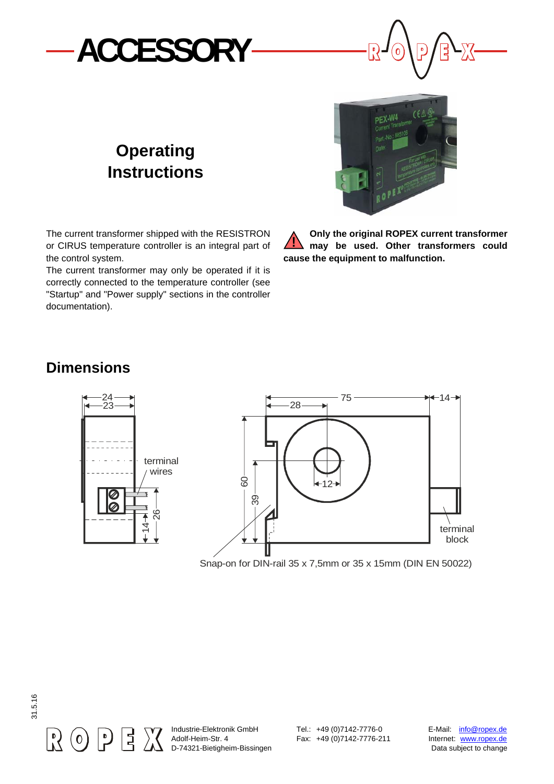



## **Operating Instructions**

The current transformer shipped with the RESISTRON or CIRUS temperature controller is an integral part of the control system.

The current transformer may only be operated if it is correctly connected to the temperature controller (see "Startup" and "Power supply" sections in the controller documentation).



**Only the original ROPEX current transformer may be used. Other transformers could cause the equipment to malfunction. !**

## **Dimensions**



Snap-on for DIN-rail 35 x 7,5mm or 35 x 15mm (DIN EN 50022)



Industrie-Elektronik GmbH Tel.: +49 (0)7142-7776-0 E-Mail: info@ropex.de Adolf-Heim-Str. 4 Fax: +49 (0)7142-7776-211 Internet: www.ropex.de D-74321-Bietigheim-Bissingen Data subject to change